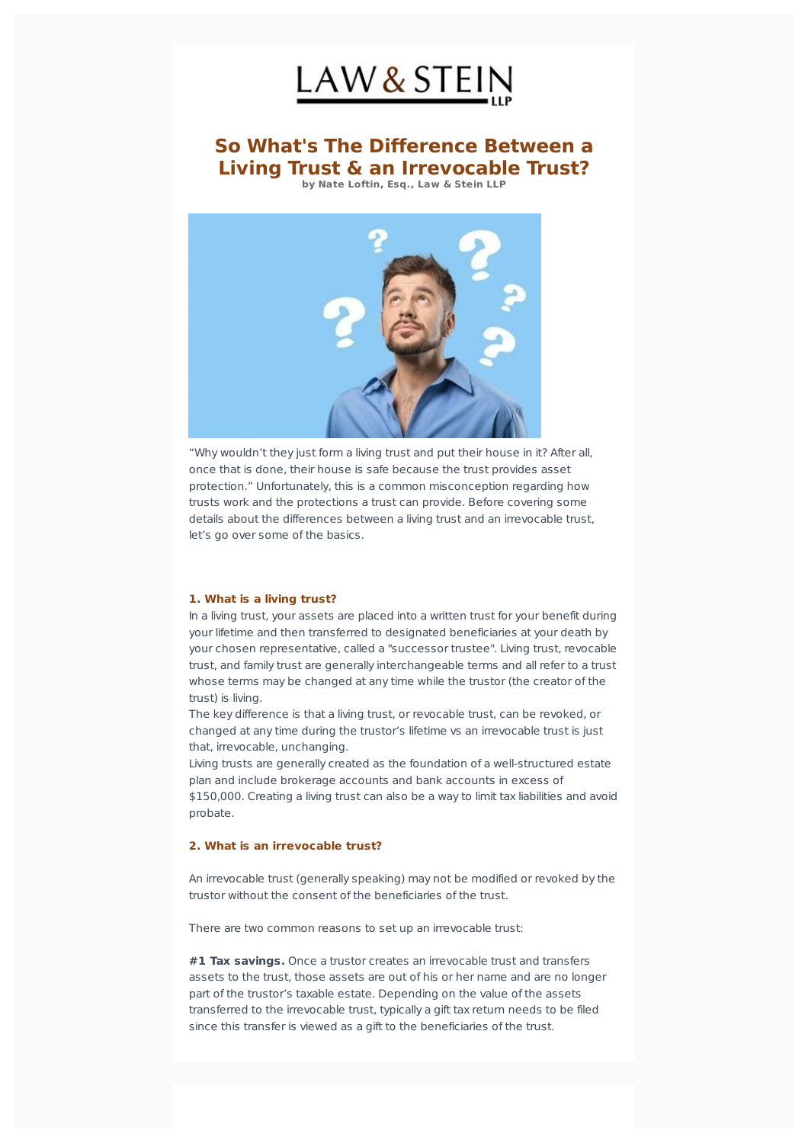

# **So What's The Difference Between a Living Trust & an Irrevocable Trust? by Nate Loftin, Esq., Law & Stein LLP**



"Why wouldn't they just form a living trust and put their house in it? After all, once that is done, their house is safe because the trust provides asset protection." Unfortunately, this is a common misconception regarding how trusts work and the protections a trust can provide. Before covering some details about the differences between a living trust and an irrevocable trust, let's go over some of the basics.

#### **1. What is a living trust?**

In a living trust, your assets are placed into a written trust for your benefit during your lifetime and then transferred to designated beneficiaries at your death by your chosen representative, called a "successor trustee". Living trust, revocable trust, and family trust are generally interchangeable terms and all refer to a trust whose terms may be changed at any time while the trustor (the creator of the trust) is living.

The key difference is that a living trust, or revocable trust, can be revoked, or changed at any time during the trustor's lifetime vs an irrevocable trust is just that, irrevocable, unchanging.

Living trusts are generally created as the foundation of a well-structured estate plan and include brokerage accounts and bank accounts in excess of

\$150,000. Creating a living trust can also be a way to limit tax liabilities and avoid probate.

#### **2. What is an irrevocable trust?**

An irrevocable trust (generally speaking) may not be modified or revoked by the trustor without the consent of the beneficiaries of the trust.

There are two common reasons to set up an irrevocable trust:

**#1 Tax savings.** Once a trustor creates an irrevocable trust and transfers assets to the trust, those assets are out of his or her name and are no longer part of the trustor's taxable estate. Depending on the value of the assets transferred to the irrevocable trust, typically a gift tax return needs to be filed since this transfer is viewed as a gift to the beneficiaries of the trust.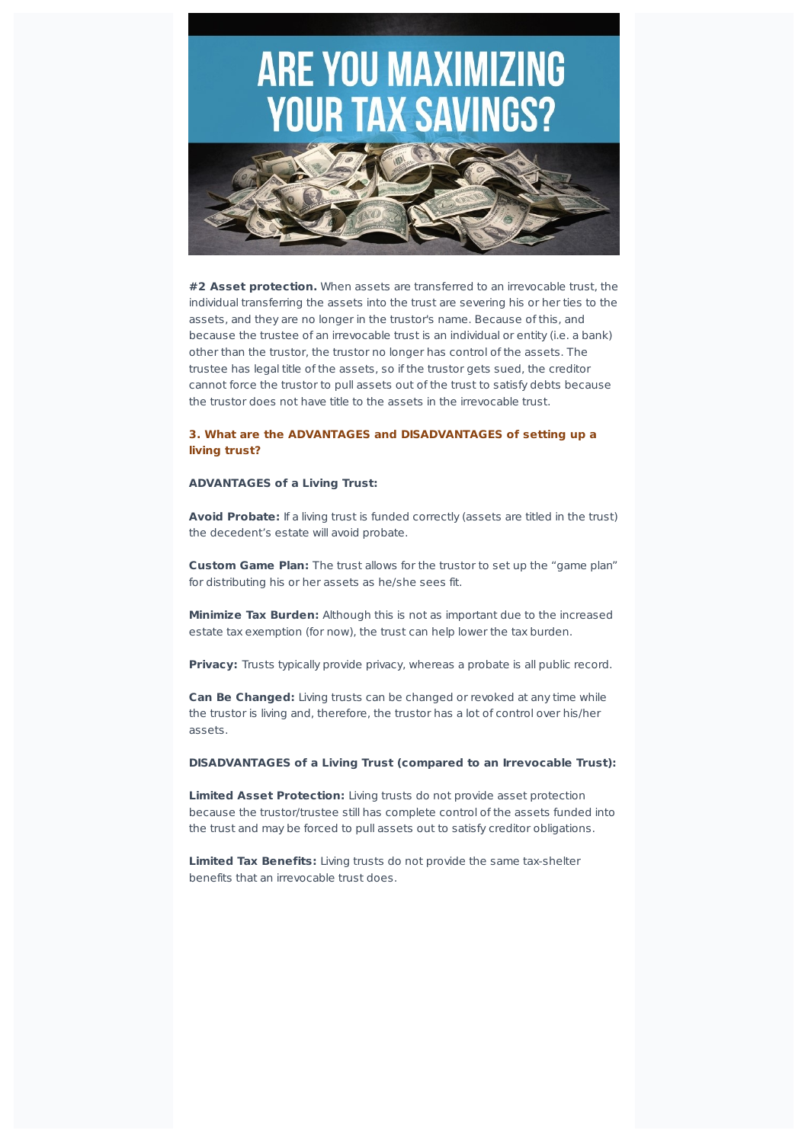# **ARE YOU MAXIMIZING YOUR TAX SAVINGS?**



**#2 Asset protection.** When assets are transferred to an irrevocable trust, the individual transferring the assets into the trust are severing his or her ties to the assets, and they are no longer in the trustor's name. Because of this, and because the trustee of an irrevocable trust is an individual or entity (i.e. a bank) other than the trustor, the trustor no longer has control of the assets. The trustee has legal title of the assets, so if the trustor gets sued, the creditor cannot force the trustor to pull assets out of the trust to satisfy debts because the trustor does not have title to the assets in the irrevocable trust.

### **3. What are the ADVANTAGES and DISADVANTAGES of setting up a living trust?**

#### **ADVANTAGES of a Living Trust:**

**Avoid Probate:** If a living trust is funded correctly (assets are titled in the trust) the decedent's estate will avoid probate.

**Custom Game Plan:** The trust allows for the trustor to set up the "game plan" for distributing his or her assets as he/she sees fit.

**Minimize Tax Burden:** Although this is not as important due to the increased estate tax exemption (for now), the trust can help lower the tax burden.

**Privacy:** Trusts typically provide privacy, whereas a probate is all public record.

**Can Be Changed:** Living trusts can be changed or revoked at any time while the trustor is living and, therefore, the trustor has a lot of control over his/her assets.

**DISADVANTAGES of a Living Trust (compared to an Irrevocable Trust):**

**Limited Asset Protection:** Living trusts do not provide asset protection because the trustor/trustee still has complete control of the assets funded into the trust and may be forced to pull assets out to satisfy creditor obligations.

**Limited Tax Benefits:** Living trusts do not provide the same tax-shelter benefits that an irrevocable trust does.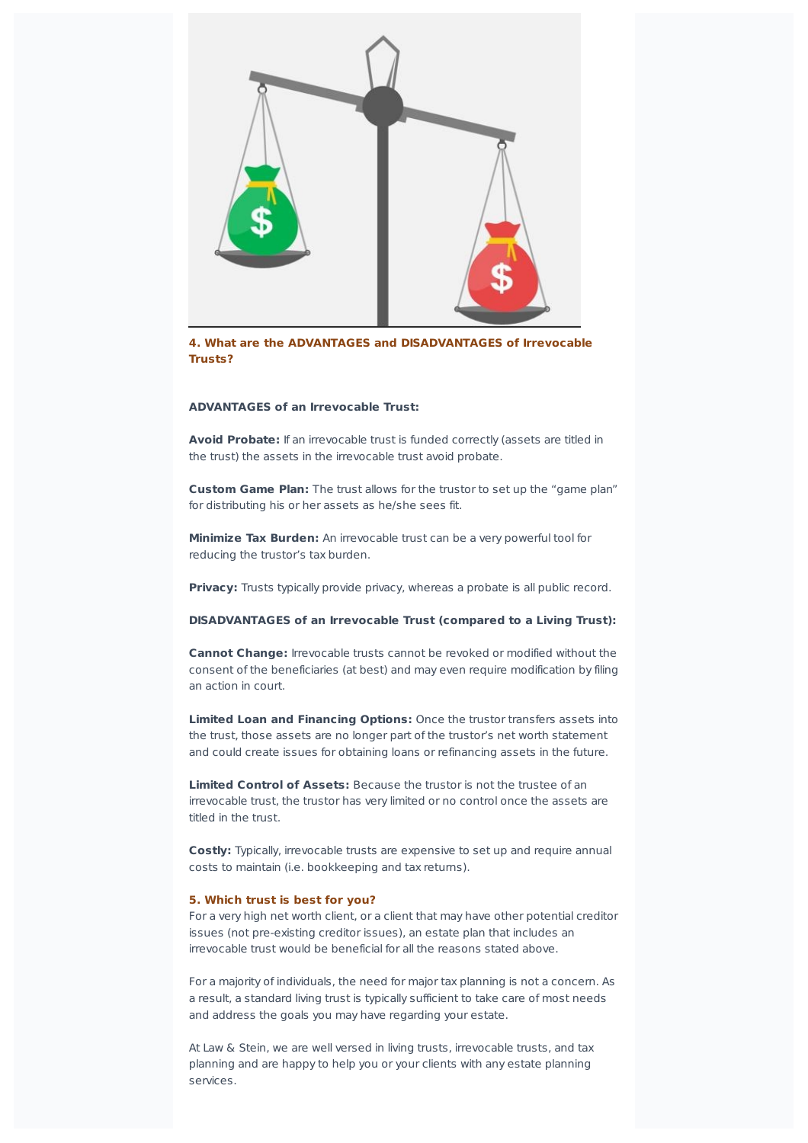

**4. What are the ADVANTAGES and DISADVANTAGES of Irrevocable Trusts?**

#### **ADVANTAGES of an Irrevocable Trust:**

**Avoid Probate:** If an irrevocable trust is funded correctly (assets are titled in the trust) the assets in the irrevocable trust avoid probate.

**Custom Game Plan:** The trust allows for the trustor to set up the "game plan" for distributing his or her assets as he/she sees fit.

**Minimize Tax Burden:** An irrevocable trust can be a very powerful tool for reducing the trustor's tax burden.

**Privacy:** Trusts typically provide privacy, whereas a probate is all public record.

#### **DISADVANTAGES of an Irrevocable Trust (compared to a Living Trust):**

**Cannot Change:** Irrevocable trusts cannot be revoked or modified without the consent of the beneficiaries (at best) and may even require modification by filing an action in court.

**Limited Loan and Financing Options:** Once the trustor transfers assets into the trust, those assets are no longer part of the trustor's net worth statement and could create issues for obtaining loans or refinancing assets in the future.

**Limited Control of Assets:** Because the trustor is not the trustee of an irrevocable trust, the trustor has very limited or no control once the assets are titled in the trust.

**Costly:** Typically, irrevocable trusts are expensive to set up and require annual costs to maintain (i.e. bookkeeping and tax returns).

#### **5. Which trust is best for you?**

For a very high net worth client, or a client that may have other potential creditor issues (not pre-existing creditor issues), an estate plan that includes an irrevocable trust would be beneficial for all the reasons stated above.

For a majority of individuals, the need for major tax planning is not a concern. As a result, a standard living trust is typically sufficient to take care of most needs and address the goals you may have regarding your estate.

At Law & Stein, we are well versed in living trusts, irrevocable trusts, and tax planning and are happy to help you or your clients with any estate planning services.